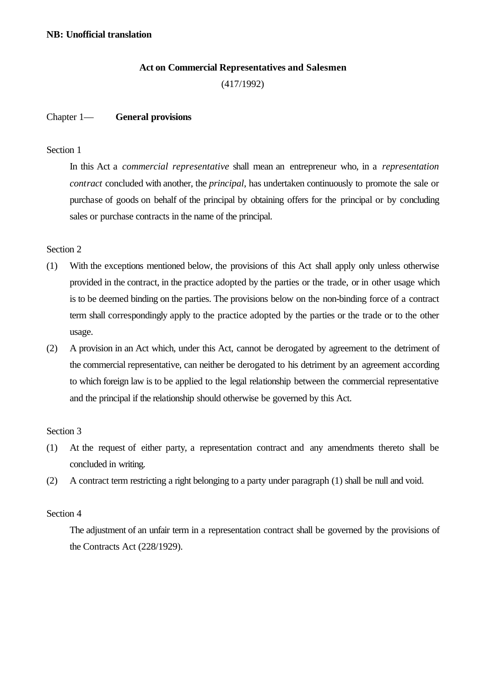# **Act on Commercial Representatives and Salesmen** (417/1992)

## Chapter 1— **General provisions**

## Section 1

In this Act a *commercial representative* shall mean an entrepreneur who, in a *representation contract* concluded with another, the *principal*, has undertaken continuously to promote the sale or purchase of goods on behalf of the principal by obtaining offers for the principal or by concluding sales or purchase contracts in the name of the principal.

## Section 2

- (1) With the exceptions mentioned below, the provisions of this Act shall apply only unless otherwise provided in the contract, in the practice adopted by the parties or the trade, or in other usage which is to be deemed binding on the parties. The provisions below on the non-binding force of a contract term shall correspondingly apply to the practice adopted by the parties or the trade or to the other usage.
- (2) A provision in an Act which, under this Act, cannot be derogated by agreement to the detriment of the commercial representative, can neither be derogated to his detriment by an agreement according to which foreign law is to be applied to the legal relationship between the commercial representative and the principal if the relationship should otherwise be governed by this Act.

#### Section 3

- (1) At the request of either party, a representation contract and any amendments thereto shall be concluded in writing.
- (2) A contract term restricting a right belonging to a party under paragraph (1) shall be null and void.

## Section 4

The adjustment of an unfair term in a representation contract shall be governed by the provisions of the Contracts Act (228/1929).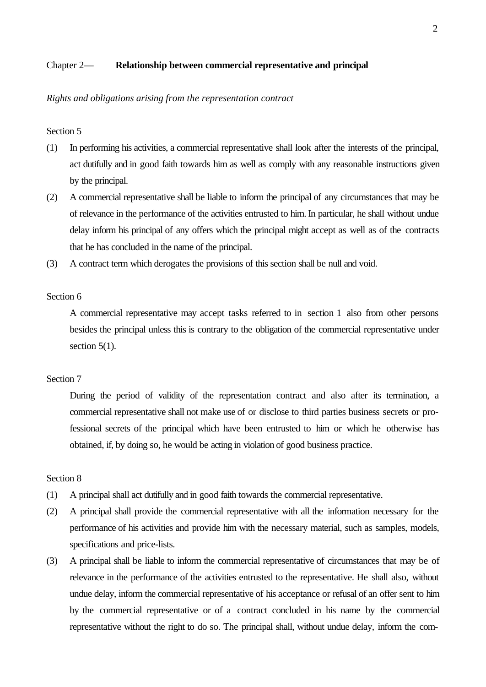### Chapter 2— **Relationship between commercial representative and principal**

#### *Rights and obligations arising from the representation contract*

## Section 5

- (1) In performing his activities, a commercial representative shall look after the interests of the principal, act dutifully and in good faith towards him as well as comply with any reasonable instructions given by the principal.
- (2) A commercial representative shall be liable to inform the principal of any circumstances that may be of relevance in the performance of the activities entrusted to him. In particular, he shall without undue delay inform his principal of any offers which the principal might accept as well as of the contracts that he has concluded in the name of the principal.
- (3) A contract term which derogates the provisions of this section shall be null and void.

## Section 6

A commercial representative may accept tasks referred to in section 1 also from other persons besides the principal unless this is contrary to the obligation of the commercial representative under section  $5(1)$ .

## Section 7

During the period of validity of the representation contract and also after its termination, a commercial representative shall not make use of or disclose to third parties business secrets or professional secrets of the principal which have been entrusted to him or which he otherwise has obtained, if, by doing so, he would be acting in violation of good business practice.

- (1) A principal shall act dutifully and in good faith towards the commercial representative.
- (2) A principal shall provide the commercial representative with all the information necessary for the performance of his activities and provide him with the necessary material, such as samples, models, specifications and price-lists.
- (3) A principal shall be liable to inform the commercial representative of circumstances that may be of relevance in the performance of the activities entrusted to the representative. He shall also, without undue delay, inform the commercial representative of his acceptance or refusal of an offer sent to him by the commercial representative or of a contract concluded in his name by the commercial representative without the right to do so. The principal shall, without undue delay, inform the com-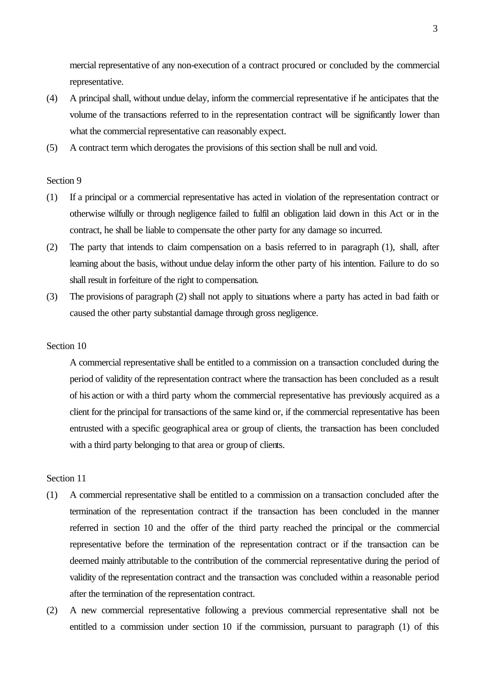mercial representative of any non-execution of a contract procured or concluded by the commercial representative.

- (4) A principal shall, without undue delay, inform the commercial representative if he anticipates that the volume of the transactions referred to in the representation contract will be significantly lower than what the commercial representative can reasonably expect.
- (5) A contract term which derogates the provisions of this section shall be null and void.

#### Section 9

- (1) If a principal or a commercial representative has acted in violation of the representation contract or otherwise wilfully or through negligence failed to fulfil an obligation laid down in this Act or in the contract, he shall be liable to compensate the other party for any damage so incurred.
- (2) The party that intends to claim compensation on a basis referred to in paragraph (1), shall, after learning about the basis, without undue delay inform the other party of his intention. Failure to do so shall result in forfeiture of the right to compensation.
- (3) The provisions of paragraph (2) shall not apply to situations where a party has acted in bad faith or caused the other party substantial damage through gross negligence.

#### Section 10

A commercial representative shall be entitled to a commission on a transaction concluded during the period of validity of the representation contract where the transaction has been concluded as a result of his action or with a third party whom the commercial representative has previously acquired as a client for the principal for transactions of the same kind or, if the commercial representative has been entrusted with a specific geographical area or group of clients, the transaction has been concluded with a third party belonging to that area or group of clients.

- (1) A commercial representative shall be entitled to a commission on a transaction concluded after the termination of the representation contract if the transaction has been concluded in the manner referred in section 10 and the offer of the third party reached the principal or the commercial representative before the termination of the representation contract or if the transaction can be deemed mainly attributable to the contribution of the commercial representative during the period of validity of the representation contract and the transaction was concluded within a reasonable period after the termination of the representation contract.
- (2) A new commercial representative following a previous commercial representative shall not be entitled to a commission under section 10 if the commission, pursuant to paragraph (1) of this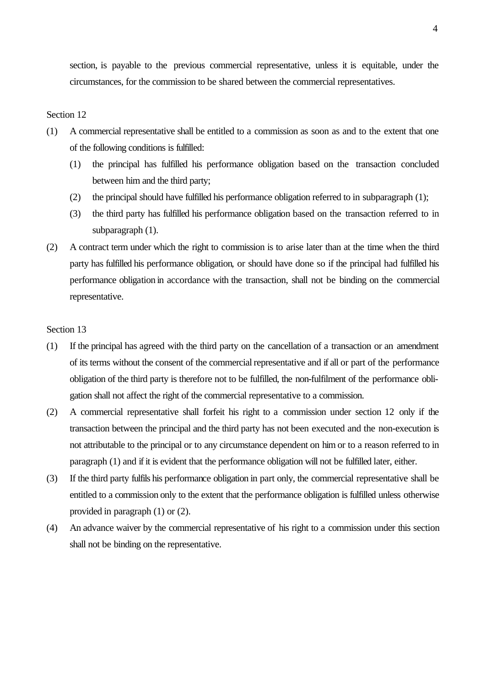section, is payable to the previous commercial representative, unless it is equitable, under the circumstances, for the commission to be shared between the commercial representatives.

#### Section 12

- (1) A commercial representative shall be entitled to a commission as soon as and to the extent that one of the following conditions is fulfilled:
	- (1) the principal has fulfilled his performance obligation based on the transaction concluded between him and the third party;
	- (2) the principal should have fulfilled his performance obligation referred to in subparagraph (1);
	- (3) the third party has fulfilled his performance obligation based on the transaction referred to in subparagraph (1).
- (2) A contract term under which the right to commission is to arise later than at the time when the third party has fulfilled his performance obligation, or should have done so if the principal had fulfilled his performance obligation in accordance with the transaction, shall not be binding on the commercial representative.

- (1) If the principal has agreed with the third party on the cancellation of a transaction or an amendment of its terms without the consent of the commercial representative and if all or part of the performance obligation of the third party is therefore not to be fulfilled, the non-fulfilment of the performance obligation shall not affect the right of the commercial representative to a commission.
- (2) A commercial representative shall forfeit his right to a commission under section 12 only if the transaction between the principal and the third party has not been executed and the non-execution is not attributable to the principal or to any circumstance dependent on him or to a reason referred to in paragraph (1) and if it is evident that the performance obligation will not be fulfilled later, either.
- (3) If the third party fulfils his performance obligation in part only, the commercial representative shall be entitled to a commission only to the extent that the performance obligation is fulfilled unless otherwise provided in paragraph (1) or (2).
- (4) An advance waiver by the commercial representative of his right to a commission under this section shall not be binding on the representative.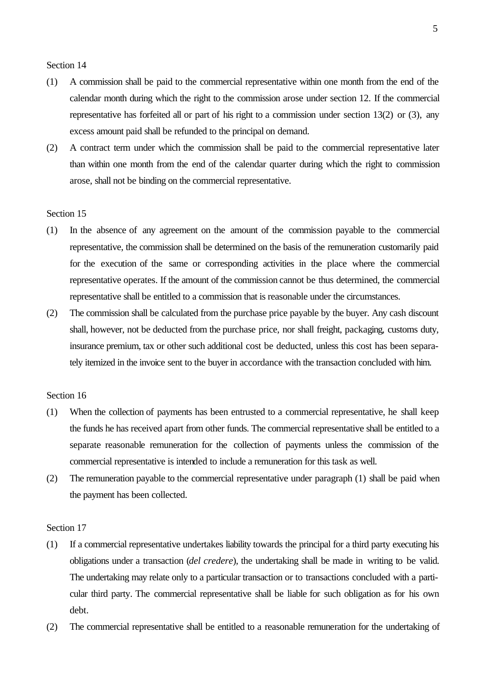- (1) A commission shall be paid to the commercial representative within one month from the end of the calendar month during which the right to the commission arose under section 12. If the commercial representative has forfeited all or part of his right to a commission under section 13(2) or (3), any excess amount paid shall be refunded to the principal on demand.
- (2) A contract term under which the commission shall be paid to the commercial representative later than within one month from the end of the calendar quarter during which the right to commission arose, shall not be binding on the commercial representative.

## Section 15

- (1) In the absence of any agreement on the amount of the commission payable to the commercial representative, the commission shall be determined on the basis of the remuneration customarily paid for the execution of the same or corresponding activities in the place where the commercial representative operates. If the amount of the commission cannot be thus determined, the commercial representative shall be entitled to a commission that is reasonable under the circumstances.
- (2) The commission shall be calculated from the purchase price payable by the buyer. Any cash discount shall, however, not be deducted from the purchase price, nor shall freight, packaging, customs duty, insurance premium, tax or other such additional cost be deducted, unless this cost has been separately itemized in the invoice sent to the buyer in accordance with the transaction concluded with him.

#### Section 16

- (1) When the collection of payments has been entrusted to a commercial representative, he shall keep the funds he has received apart from other funds. The commercial representative shall be entitled to a separate reasonable remuneration for the collection of payments unless the commission of the commercial representative is intended to include a remuneration for this task as well.
- (2) The remuneration payable to the commercial representative under paragraph (1) shall be paid when the payment has been collected.

- (1) If a commercial representative undertakes liability towards the principal for a third party executing his obligations under a transaction (*del credere*), the undertaking shall be made in writing to be valid. The undertaking may relate only to a particular transaction or to transactions concluded with a particular third party. The commercial representative shall be liable for such obligation as for his own debt.
- (2) The commercial representative shall be entitled to a reasonable remuneration for the undertaking of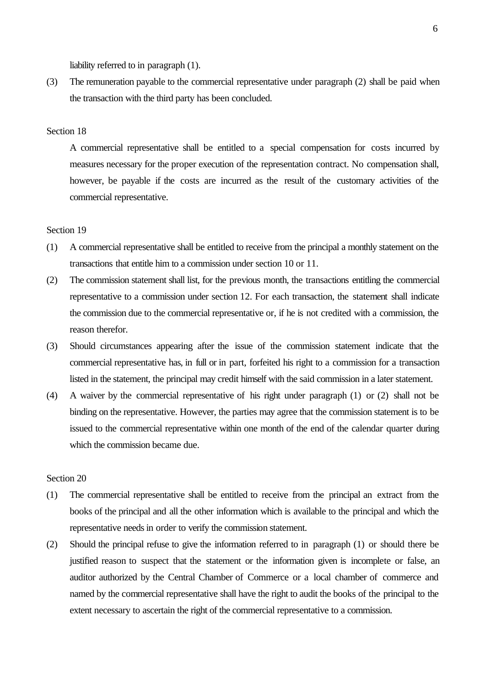liability referred to in paragraph (1).

(3) The remuneration payable to the commercial representative under paragraph (2) shall be paid when the transaction with the third party has been concluded.

## Section 18

A commercial representative shall be entitled to a special compensation for costs incurred by measures necessary for the proper execution of the representation contract. No compensation shall, however, be payable if the costs are incurred as the result of the customary activities of the commercial representative.

#### Section 19

- (1) A commercial representative shall be entitled to receive from the principal a monthly statement on the transactions that entitle him to a commission under section 10 or 11.
- (2) The commission statement shall list, for the previous month, the transactions entitling the commercial representative to a commission under section 12. For each transaction, the statement shall indicate the commission due to the commercial representative or, if he is not credited with a commission, the reason therefor.
- (3) Should circumstances appearing after the issue of the commission statement indicate that the commercial representative has, in full or in part, forfeited his right to a commission for a transaction listed in the statement, the principal may credit himself with the said commission in a later statement.
- (4) A waiver by the commercial representative of his right under paragraph (1) or (2) shall not be binding on the representative. However, the parties may agree that the commission statement is to be issued to the commercial representative within one month of the end of the calendar quarter during which the commission became due.

- (1) The commercial representative shall be entitled to receive from the principal an extract from the books of the principal and all the other information which is available to the principal and which the representative needs in order to verify the commission statement.
- (2) Should the principal refuse to give the information referred to in paragraph (1) or should there be justified reason to suspect that the statement or the information given is incomplete or false, an auditor authorized by the Central Chamber of Commerce or a local chamber of commerce and named by the commercial representative shall have the right to audit the books of the principal to the extent necessary to ascertain the right of the commercial representative to a commission.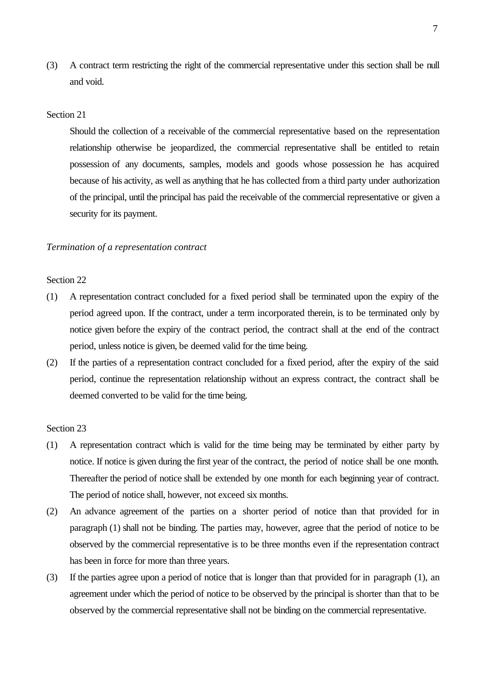(3) A contract term restricting the right of the commercial representative under this section shall be null and void.

## Section 21

Should the collection of a receivable of the commercial representative based on the representation relationship otherwise be jeopardized, the commercial representative shall be entitled to retain possession of any documents, samples, models and goods whose possession he has acquired because of his activity, as well as anything that he has collected from a third party under authorization of the principal, until the principal has paid the receivable of the commercial representative or given a security for its payment.

#### *Termination of a representation contract*

#### Section 22

- (1) A representation contract concluded for a fixed period shall be terminated upon the expiry of the period agreed upon. If the contract, under a term incorporated therein, is to be terminated only by notice given before the expiry of the contract period, the contract shall at the end of the contract period, unless notice is given, be deemed valid for the time being.
- (2) If the parties of a representation contract concluded for a fixed period, after the expiry of the said period, continue the representation relationship without an express contract, the contract shall be deemed converted to be valid for the time being.

- (1) A representation contract which is valid for the time being may be terminated by either party by notice. If notice is given during the first year of the contract, the period of notice shall be one month. Thereafter the period of notice shall be extended by one month for each beginning year of contract. The period of notice shall, however, not exceed six months.
- (2) An advance agreement of the parties on a shorter period of notice than that provided for in paragraph (1) shall not be binding. The parties may, however, agree that the period of notice to be observed by the commercial representative is to be three months even if the representation contract has been in force for more than three years.
- (3) If the parties agree upon a period of notice that is longer than that provided for in paragraph (1), an agreement under which the period of notice to be observed by the principal is shorter than that to be observed by the commercial representative shall not be binding on the commercial representative.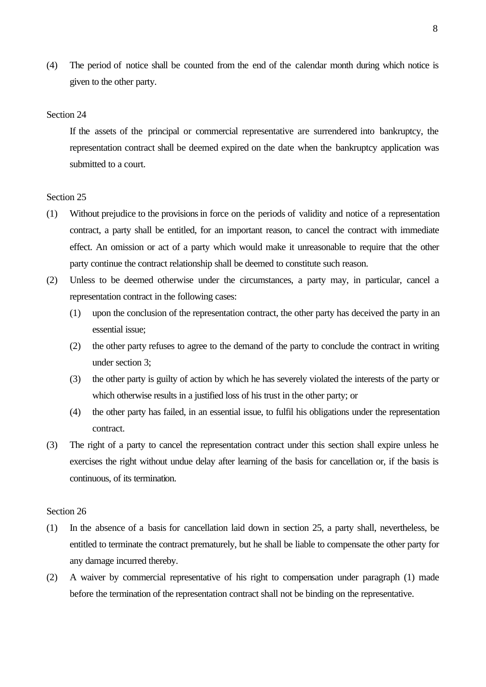(4) The period of notice shall be counted from the end of the calendar month during which notice is given to the other party.

## Section 24

If the assets of the principal or commercial representative are surrendered into bankruptcy, the representation contract shall be deemed expired on the date when the bankruptcy application was submitted to a court.

#### Section 25

- (1) Without prejudice to the provisions in force on the periods of validity and notice of a representation contract, a party shall be entitled, for an important reason, to cancel the contract with immediate effect. An omission or act of a party which would make it unreasonable to require that the other party continue the contract relationship shall be deemed to constitute such reason.
- (2) Unless to be deemed otherwise under the circumstances, a party may, in particular, cancel a representation contract in the following cases:
	- (1) upon the conclusion of the representation contract, the other party has deceived the party in an essential issue;
	- (2) the other party refuses to agree to the demand of the party to conclude the contract in writing under section 3;
	- (3) the other party is guilty of action by which he has severely violated the interests of the party or which otherwise results in a justified loss of his trust in the other party; or
	- (4) the other party has failed, in an essential issue, to fulfil his obligations under the representation contract.
- (3) The right of a party to cancel the representation contract under this section shall expire unless he exercises the right without undue delay after learning of the basis for cancellation or, if the basis is continuous, of its termination.

- (1) In the absence of a basis for cancellation laid down in section 25, a party shall, nevertheless, be entitled to terminate the contract prematurely, but he shall be liable to compensate the other party for any damage incurred thereby.
- (2) A waiver by commercial representative of his right to compensation under paragraph (1) made before the termination of the representation contract shall not be binding on the representative.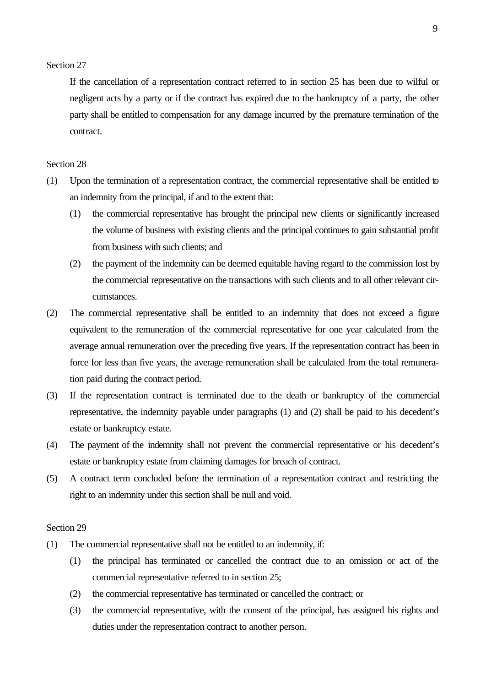If the cancellation of a representation contract referred to in section 25 has been due to wilful or negligent acts by a party or if the contract has expired due to the bankruptcy of a party, the other party shall be entitled to compensation for any damage incurred by the premature termination of the contract.

#### Section 28

- (1) Upon the termination of a representation contract, the commercial representative shall be entitled to an indemnity from the principal, if and to the extent that:
	- (1) the commercial representative has brought the principal new clients or significantly increased the volume of business with existing clients and the principal continues to gain substantial profit from business with such clients; and
	- (2) the payment of the indemnity can be deemed equitable having regard to the commission lost by the commercial representative on the transactions with such clients and to all other relevant circumstances.
- (2) The commercial representative shall be entitled to an indemnity that does not exceed a figure equivalent to the remuneration of the commercial representative for one year calculated from the average annual remuneration over the preceding five years. If the representation contract has been in force for less than five years, the average remuneration shall be calculated from the total remuneration paid during the contract period.
- (3) If the representation contract is terminated due to the death or bankruptcy of the commercial representative, the indemnity payable under paragraphs (1) and (2) shall be paid to his decedent's estate or bankruptcy estate.
- (4) The payment of the indemnity shall not prevent the commercial representative or his decedent's estate or bankruptcy estate from claiming damages for breach of contract.
- (5) A contract term concluded before the termination of a representation contract and restricting the right to an indemnity under this section shall be null and void.

- (1) The commercial representative shall not be entitled to an indemnity, if:
	- (1) the principal has terminated or cancelled the contract due to an omission or act of the commercial representative referred to in section 25;
	- (2) the commercial representative has terminated or cancelled the contract; or
	- (3) the commercial representative, with the consent of the principal, has assigned his rights and duties under the representation contract to another person.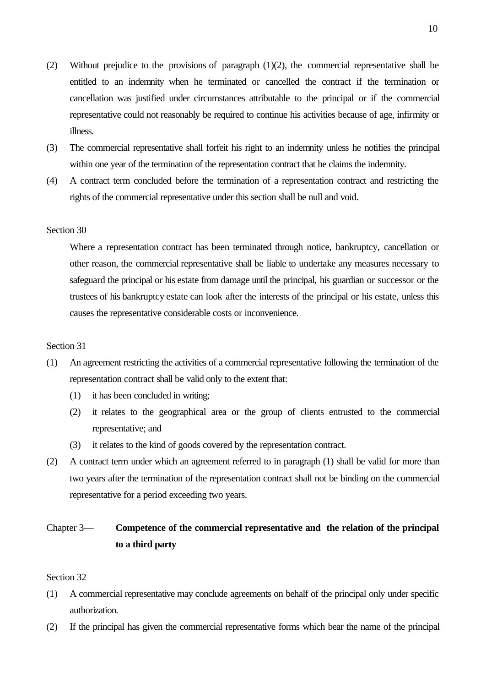- (2) Without prejudice to the provisions of paragraph (1)(2), the commercial representative shall be entitled to an indemnity when he terminated or cancelled the contract if the termination or cancellation was justified under circumstances attributable to the principal or if the commercial representative could not reasonably be required to continue his activities because of age, infirmity or illness.
- (3) The commercial representative shall forfeit his right to an indemnity unless he notifies the principal within one year of the termination of the representation contract that he claims the indemnity.
- (4) A contract term concluded before the termination of a representation contract and restricting the rights of the commercial representative under this section shall be null and void.

Where a representation contract has been terminated through notice, bankruptcy, cancellation or other reason, the commercial representative shall be liable to undertake any measures necessary to safeguard the principal or his estate from damage until the principal, his guardian or successor or the trustees of his bankruptcy estate can look after the interests of the principal or his estate, unless this causes the representative considerable costs or inconvenience.

### Section 31

- (1) An agreement restricting the activities of a commercial representative following the termination of the representation contract shall be valid only to the extent that:
	- (1) it has been concluded in writing;
	- (2) it relates to the geographical area or the group of clients entrusted to the commercial representative; and
	- (3) it relates to the kind of goods covered by the representation contract.
- (2) A contract term under which an agreement referred to in paragraph (1) shall be valid for more than two years after the termination of the representation contract shall not be binding on the commercial representative for a period exceeding two years.

## Chapter 3— **Competence of the commercial representative and the relation of the principal to a third party**

- (1) A commercial representative may conclude agreements on behalf of the principal only under specific authorization.
- (2) If the principal has given the commercial representative forms which bear the name of the principal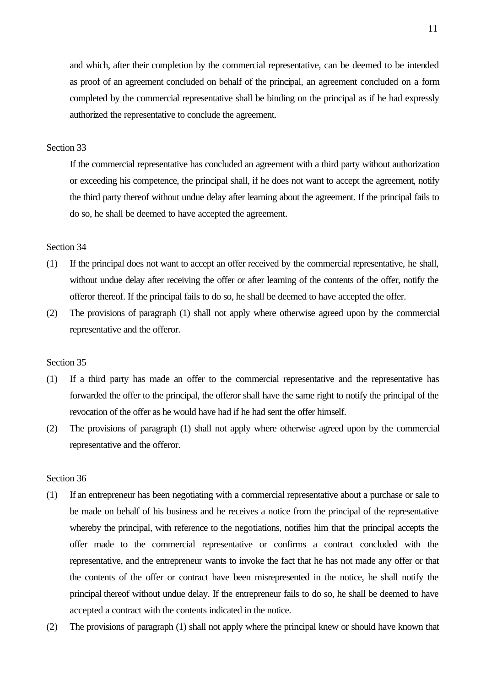and which, after their completion by the commercial representative, can be deemed to be intended as proof of an agreement concluded on behalf of the principal, an agreement concluded on a form completed by the commercial representative shall be binding on the principal as if he had expressly authorized the representative to conclude the agreement.

## Section 33

If the commercial representative has concluded an agreement with a third party without authorization or exceeding his competence, the principal shall, if he does not want to accept the agreement, notify the third party thereof without undue delay after learning about the agreement. If the principal fails to do so, he shall be deemed to have accepted the agreement.

## Section 34

- (1) If the principal does not want to accept an offer received by the commercial representative, he shall, without undue delay after receiving the offer or after learning of the contents of the offer, notify the offeror thereof. If the principal fails to do so, he shall be deemed to have accepted the offer.
- (2) The provisions of paragraph (1) shall not apply where otherwise agreed upon by the commercial representative and the offeror.

## Section 35

- (1) If a third party has made an offer to the commercial representative and the representative has forwarded the offer to the principal, the offeror shall have the same right to notify the principal of the revocation of the offer as he would have had if he had sent the offer himself.
- (2) The provisions of paragraph (1) shall not apply where otherwise agreed upon by the commercial representative and the offeror.

- (1) If an entrepreneur has been negotiating with a commercial representative about a purchase or sale to be made on behalf of his business and he receives a notice from the principal of the representative whereby the principal, with reference to the negotiations, notifies him that the principal accepts the offer made to the commercial representative or confirms a contract concluded with the representative, and the entrepreneur wants to invoke the fact that he has not made any offer or that the contents of the offer or contract have been misrepresented in the notice, he shall notify the principal thereof without undue delay. If the entrepreneur fails to do so, he shall be deemed to have accepted a contract with the contents indicated in the notice.
- (2) The provisions of paragraph (1) shall not apply where the principal knew or should have known that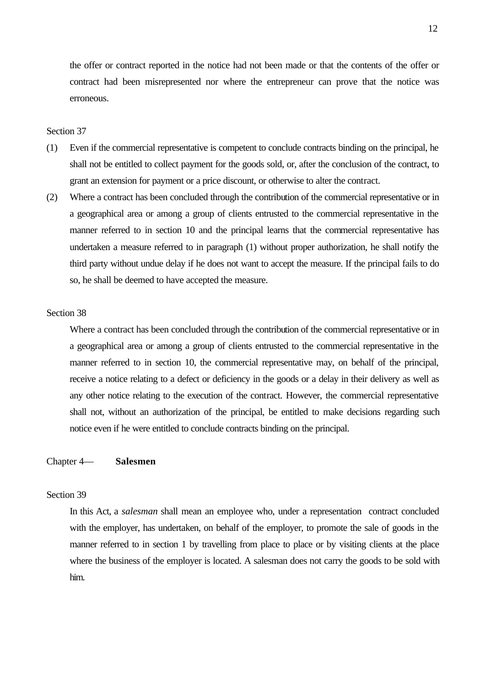the offer or contract reported in the notice had not been made or that the contents of the offer or contract had been misrepresented nor where the entrepreneur can prove that the notice was erroneous.

## Section 37

- (1) Even if the commercial representative is competent to conclude contracts binding on the principal, he shall not be entitled to collect payment for the goods sold, or, after the conclusion of the contract, to grant an extension for payment or a price discount, or otherwise to alter the contract.
- (2) Where a contract has been concluded through the contribution of the commercial representative or in a geographical area or among a group of clients entrusted to the commercial representative in the manner referred to in section 10 and the principal learns that the commercial representative has undertaken a measure referred to in paragraph (1) without proper authorization, he shall notify the third party without undue delay if he does not want to accept the measure. If the principal fails to do so, he shall be deemed to have accepted the measure.

#### Section 38

Where a contract has been concluded through the contribution of the commercial representative or in a geographical area or among a group of clients entrusted to the commercial representative in the manner referred to in section 10, the commercial representative may, on behalf of the principal, receive a notice relating to a defect or deficiency in the goods or a delay in their delivery as well as any other notice relating to the execution of the contract. However, the commercial representative shall not, without an authorization of the principal, be entitled to make decisions regarding such notice even if he were entitled to conclude contracts binding on the principal.

#### Chapter 4— **Salesmen**

#### Section 39

In this Act, a *salesman* shall mean an employee who, under a representation contract concluded with the employer, has undertaken, on behalf of the employer, to promote the sale of goods in the manner referred to in section 1 by travelling from place to place or by visiting clients at the place where the business of the employer is located. A salesman does not carry the goods to be sold with him.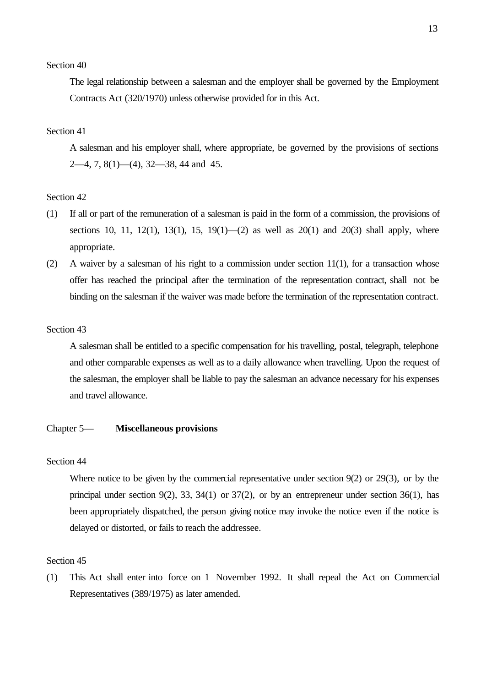The legal relationship between a salesman and the employer shall be governed by the Employment Contracts Act (320/1970) unless otherwise provided for in this Act.

## Section 41

A salesman and his employer shall, where appropriate, be governed by the provisions of sections 2—4, 7, 8(1)—(4), 32—38, 44 and 45.

#### Section 42

- (1) If all or part of the remuneration of a salesman is paid in the form of a commission, the provisions of sections 10, 11, 12(1), 13(1), 15, 19(1)—(2) as well as  $20(1)$  and  $20(3)$  shall apply, where appropriate.
- (2) A waiver by a salesman of his right to a commission under section 11(1), for a transaction whose offer has reached the principal after the termination of the representation contract, shall not be binding on the salesman if the waiver was made before the termination of the representation contract.

## Section 43

A salesman shall be entitled to a specific compensation for his travelling, postal, telegraph, telephone and other comparable expenses as well as to a daily allowance when travelling. Upon the request of the salesman, the employer shall be liable to pay the salesman an advance necessary for his expenses and travel allowance.

#### Chapter 5— **Miscellaneous provisions**

## Section 44

Where notice to be given by the commercial representative under section 9(2) or 29(3), or by the principal under section 9(2), 33, 34(1) or  $37(2)$ , or by an entrepreneur under section 36(1), has been appropriately dispatched, the person giving notice may invoke the notice even if the notice is delayed or distorted, or fails to reach the addressee.

#### Section 45

(1) This Act shall enter into force on 1 November 1992. It shall repeal the Act on Commercial Representatives (389/1975) as later amended.